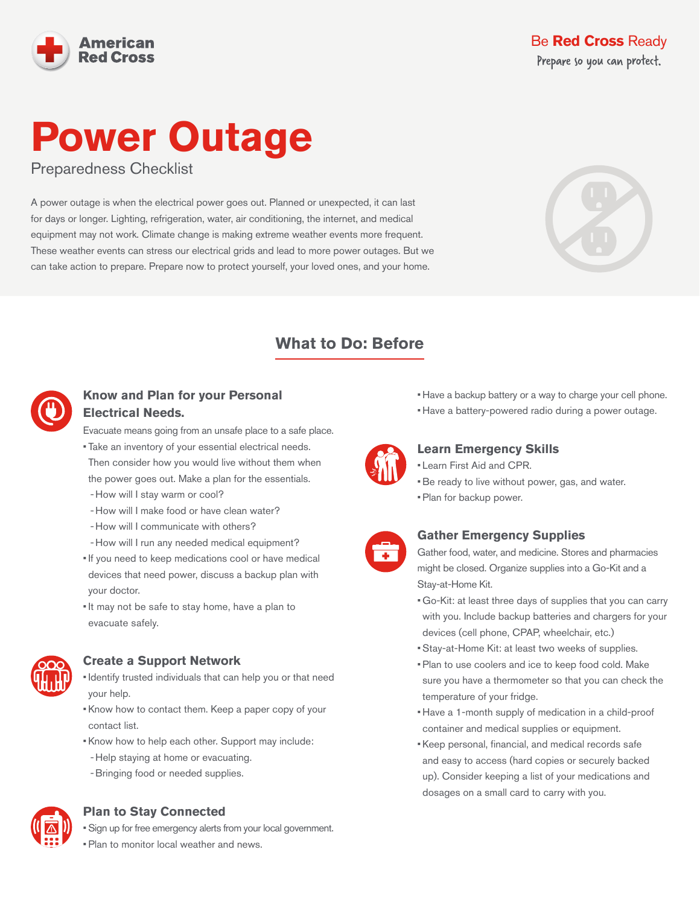

# **Power Outage**

Preparedness Checklist

A power outage is when the electrical power goes out. Planned or unexpected, it can last for days or longer. Lighting, refrigeration, water, air conditioning, the internet, and medical equipment may not work. Climate change is making extreme weather events more frequent. These weather events can stress our electrical grids and lead to more power outages. But we can take action to prepare. Prepare now to protect yourself, your loved ones, and your home.



# **What to Do: Before**



# **Know and Plan for your Personal Electrical Needs.**

Evacuate means going from an unsafe place to a safe place.

- Take an inventory of your essential electrical needs. Then consider how you would live without them when the power goes out. Make a plan for the essentials. - How will I stay warm or cool?
- How will I make food or have clean water?
- How will I communicate with others?
- How will I run any needed medical equipment?
- If you need to keep medications cool or have medical devices that need power, discuss a backup plan with your doctor.
- It may not be safe to stay home, have a plan to evacuate safely.



#### **Create a Support Network**

- Identify trusted individuals that can help you or that need your help.
- Know how to contact them. Keep a paper copy of your contact list.
- Know how to help each other. Support may include:
- Help staying at home or evacuating.
- Bringing food or needed supplies.

# **Plan to Stay Connected**

• Sign up for free emergency alerts from your local government.



• Plan to monitor local weather and news.

- Have a backup battery or a way to charge your cell phone.
- Have a battery-powered radio during a power outage.



# **Learn Emergency Skills**

- Learn First Aid and CPR.
- Be ready to live without power, gas, and water.
- Plan for backup power.



# **Gather Emergency Supplies**

Gather food, water, and medicine. Stores and pharmacies might be closed. Organize supplies into a Go-Kit and a Stay-at-Home Kit.

- Go-Kit: at least three days of supplies that you can carry with you. Include backup batteries and chargers for your devices (cell phone, CPAP, wheelchair, etc.)
- Stay-at-Home Kit: at least two weeks of supplies.
- Plan to use coolers and ice to keep food cold. Make sure you have a thermometer so that you can check the temperature of your fridge.
- Have a 1-month supply of medication in a child-proof container and medical supplies or equipment.
- Keep personal, financial, and medical records safe and easy to access (hard copies or securely backed up). Consider keeping a list of your medications and dosages on a small card to carry with you.